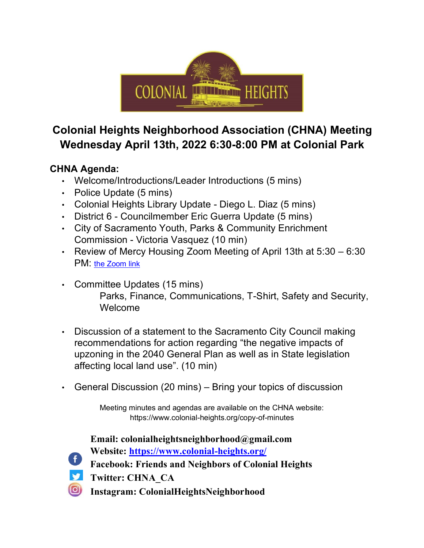

## **Colonial Heights Neighborhood Association (CHNA) Meeting Wednesday April 13th, 2022 6:30-8:00 PM at Colonial Park**

## **CHNA Agenda:**

- Welcome/Introductions/Leader Introductions (5 mins)
- Police Update (5 mins)
- Colonial Heights Library Update Diego L. Diaz (5 mins)
- District 6 Councilmember Eric Guerra Update (5 mins)
- City of Sacramento Youth, Parks & Community Enrichment Commission - Victoria Vasquez (10 min)
- Review of Mercy Housing Zoom Meeting of April 13th at 5:30 6:30 PM: [the Zoom link](https://cityofsacramento-org.zoom.us/j/92176493157?pwd=cm53OHZrTXRBcWpoVE5jcGJwWlBnZz09)
- Committee Updates (15 mins) Parks, Finance, Communications, T-Shirt, Safety and Security, Welcome
- Discussion of a statement to the Sacramento City Council making recommendations for action regarding "the negative impacts of upzoning in the 2040 General Plan as well as in State legislation affecting local land use". (10 min)
- General Discussion (20 mins) Bring your topics of discussion

Meeting minutes and agendas are available on the CHNA website: https://www.colonial-heights.org/copy-of-minutes

 $\left[ \text{o} \right]$ 

**Email: colonialheightsneighborhood@gmail.com Website: https://www.colonial-heights.org/ Facebook: Friends and Neighbors of Colonial Heights Twitter: CHNA\_CA Instagram: ColonialHeightsNeighborhood**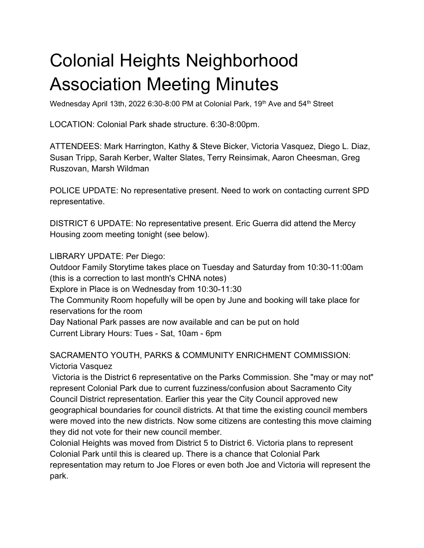## Colonial Heights Neighborhood Association Meeting Minutes

Wednesday April 13th, 2022 6:30-8:00 PM at Colonial Park, 19<sup>th</sup> Ave and 54<sup>th</sup> Street

LOCATION: Colonial Park shade structure. 6:30-8:00pm.

ATTENDEES: Mark Harrington, Kathy & Steve Bicker, Victoria Vasquez, Diego L. Diaz, Susan Tripp, Sarah Kerber, Walter Slates, Terry Reinsimak, Aaron Cheesman, Greg Ruszovan, Marsh Wildman

POLICE UPDATE: No representative present. Need to work on contacting current SPD representative.

DISTRICT 6 UPDATE: No representative present. Eric Guerra did attend the Mercy Housing zoom meeting tonight (see below).

LIBRARY UPDATE: Per Diego:

Outdoor Family Storytime takes place on Tuesday and Saturday from 10:30-11:00am (this is a correction to last month's CHNA notes)

Explore in Place is on Wednesday from 10:30-11:30

The Community Room hopefully will be open by June and booking will take place for reservations for the room

Day National Park passes are now available and can be put on hold Current Library Hours: Tues - Sat, 10am - 6pm

## SACRAMENTO YOUTH, PARKS & COMMUNITY ENRICHMENT COMMISSION: Victoria Vasquez

Victoria is the District 6 representative on the Parks Commission. She "may or may not" represent Colonial Park due to current fuzziness/confusion about Sacramento City Council District representation. Earlier this year the City Council approved new geographical boundaries for council districts. At that time the existing council members were moved into the new districts. Now some citizens are contesting this move claiming they did not vote for their new council member.

Colonial Heights was moved from District 5 to District 6. Victoria plans to represent Colonial Park until this is cleared up. There is a chance that Colonial Park representation may return to Joe Flores or even both Joe and Victoria will represent the park.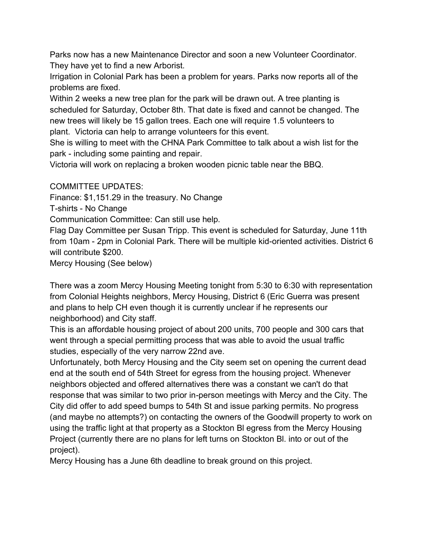Parks now has a new Maintenance Director and soon a new Volunteer Coordinator. They have yet to find a new Arborist.

Irrigation in Colonial Park has been a problem for years. Parks now reports all of the problems are fixed.

Within 2 weeks a new tree plan for the park will be drawn out. A tree planting is scheduled for Saturday, October 8th. That date is fixed and cannot be changed. The new trees will likely be 15 gallon trees. Each one will require 1.5 volunteers to plant. Victoria can help to arrange volunteers for this event.

She is willing to meet with the CHNA Park Committee to talk about a wish list for the park - including some painting and repair.

Victoria will work on replacing a broken wooden picnic table near the BBQ.

COMMITTEE UPDATES:

Finance: \$1,151.29 in the treasury. No Change

T-shirts - No Change

Communication Committee: Can still use help.

Flag Day Committee per Susan Tripp. This event is scheduled for Saturday, June 11th from 10am - 2pm in Colonial Park. There will be multiple kid-oriented activities. District 6 will contribute \$200.

Mercy Housing (See below)

There was a zoom Mercy Housing Meeting tonight from 5:30 to 6:30 with representation from Colonial Heights neighbors, Mercy Housing, District 6 (Eric Guerra was present and plans to help CH even though it is currently unclear if he represents our neighborhood) and City staff.

This is an affordable housing project of about 200 units, 700 people and 300 cars that went through a special permitting process that was able to avoid the usual traffic studies, especially of the very narrow 22nd ave.

Unfortunately, both Mercy Housing and the City seem set on opening the current dead end at the south end of 54th Street for egress from the housing project. Whenever neighbors objected and offered alternatives there was a constant we can't do that response that was similar to two prior in-person meetings with Mercy and the City. The City did offer to add speed bumps to 54th St and issue parking permits. No progress (and maybe no attempts?) on contacting the owners of the Goodwill property to work on using the traffic light at that property as a Stockton Bl egress from the Mercy Housing Project (currently there are no plans for left turns on Stockton Bl. into or out of the project).

Mercy Housing has a June 6th deadline to break ground on this project.